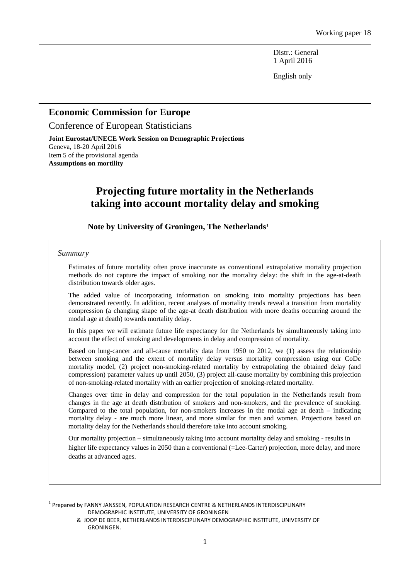Distr.: General 1 April 2016

English only

## **Economic Commission for Europe**

Conference of European Statisticians

**Joint Eurostat/UNECE Work Session on Demographic Projections** Geneva, 18-20 April 2016 Item 5 of the provisional agenda **Assumptions on mortility**

# **Projecting future mortality in the Netherlands taking into account mortality delay and smoking**

**Note by University of Groningen, The Netherlands[1](#page-0-0)**

#### *Summary*

 $\overline{a}$ 

Estimates of future mortality often prove inaccurate as conventional extrapolative mortality projection methods do not capture the impact of smoking nor the mortality delay: the shift in the age-at-death distribution towards older ages.

The added value of incorporating information on smoking into mortality projections has been demonstrated recently. In addition, recent analyses of mortality trends reveal a transition from mortality compression (a changing shape of the age-at death distribution with more deaths occurring around the modal age at death) towards mortality delay.

In this paper we will estimate future life expectancy for the Netherlands by simultaneously taking into account the effect of smoking and developments in delay and compression of mortality.

Based on lung-cancer and all-cause mortality data from 1950 to 2012, we (1) assess the relationship between smoking and the extent of mortality delay versus mortality compression using our CoDe mortality model, (2) project non-smoking-related mortality by extrapolating the obtained delay (and compression) parameter values up until 2050, (3) project all-cause mortality by combining this projection of non-smoking-related mortality with an earlier projection of smoking-related mortality.

Changes over time in delay and compression for the total population in the Netherlands result from changes in the age at death distribution of smokers and non-smokers, and the prevalence of smoking. Compared to the total population, for non-smokers increases in the modal age at death – indicating mortality delay - are much more linear, and more similar for men and women. Projections based on mortality delay for the Netherlands should therefore take into account smoking.

Our mortality projection – simultaneously taking into account mortality delay and smoking - results in higher life expectancy values in 2050 than a conventional (=Lee-Carter) projection, more delay, and more deaths at advanced ages.

<span id="page-0-0"></span><sup>&</sup>lt;sup>1</sup> Prepared by FANNY JANSSEN, POPULATION RESEARCH CENTRE & NETHERLANDS INTERDISCIPLINARY DEMOGRAPHIC INSTITUTE, UNIVERSITY OF GRONINGEN

 <sup>&</sup>amp; JOOP DE BEER, NETHERLANDS INTERDISCIPLINARY DEMOGRAPHIC INSTITUTE, UNIVERSITY OF GRONINGEN.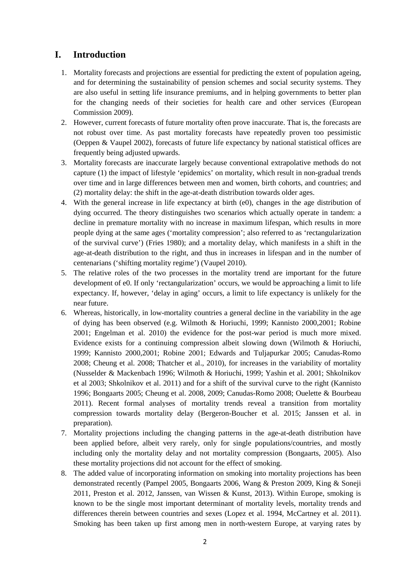# **I. Introduction**

- 1. Mortality forecasts and projections are essential for predicting the extent of population ageing, and for determining the sustainability of pension schemes and social security systems. They are also useful in setting life insurance premiums, and in helping governments to better plan for the changing needs of their societies for health care and other services (European Commission 2009).
- 2. However, current forecasts of future mortality often prove inaccurate. That is, the forecasts are not robust over time. As past mortality forecasts have repeatedly proven too pessimistic (Oeppen & Vaupel 2002), forecasts of future life expectancy by national statistical offices are frequently being adjusted upwards.
- 3. Mortality forecasts are inaccurate largely because conventional extrapolative methods do not capture (1) the impact of lifestyle 'epidemics' on mortality, which result in non-gradual trends over time and in large differences between men and women, birth cohorts, and countries; and (2) mortality delay: the shift in the age-at-death distribution towards older ages.
- 4. With the general increase in life expectancy at birth (e0), changes in the age distribution of dying occurred. The theory distinguishes two scenarios which actually operate in tandem: a decline in premature mortality with no increase in maximum lifespan, which results in more people dying at the same ages ('mortality compression'; also referred to as 'rectangularization of the survival curve') (Fries 1980); and a mortality delay, which manifests in a shift in the age-at-death distribution to the right, and thus in increases in lifespan and in the number of centenarians ('shifting mortality regime') (Vaupel 2010).
- 5. The relative roles of the two processes in the mortality trend are important for the future development of e0. If only 'rectangularization' occurs, we would be approaching a limit to life expectancy. If, however, 'delay in aging' occurs, a limit to life expectancy is unlikely for the near future.
- 6. Whereas, historically, in low-mortality countries a general decline in the variability in the age of dying has been observed (e.g. Wilmoth & Horiuchi, 1999; Kannisto 2000,2001; Robine 2001; Engelman et al. 2010) the evidence for the post-war period is much more mixed. Evidence exists for a continuing compression albeit slowing down (Wilmoth & Horiuchi, 1999; Kannisto 2000,2001; Robine 2001; Edwards and Tuljapurkar 2005; Canudas-Romo 2008; Cheung et al. 2008; Thatcher et al., 2010), for increases in the variability of mortality (Nusselder & Mackenbach 1996; Wilmoth & Horiuchi, 1999; Yashin et al. 2001; Shkolnikov et al 2003; Shkolnikov et al. 2011) and for a shift of the survival curve to the right (Kannisto 1996; Bongaarts 2005; Cheung et al. 2008, 2009; Canudas-Romo 2008; Ouelette & Bourbeau 2011). Recent formal analyses of mortality trends reveal a transition from mortality compression towards mortality delay (Bergeron-Boucher et al. 2015; Janssen et al. in preparation).
- 7. Mortality projections including the changing patterns in the age-at-death distribution have been applied before, albeit very rarely, only for single populations/countries, and mostly including only the mortality delay and not mortality compression (Bongaarts, 2005). Also these mortality projections did not account for the effect of smoking.
- 8. The added value of incorporating information on smoking into mortality projections has been demonstrated recently (Pampel 2005, Bongaarts 2006, Wang & Preston 2009, King & Soneji 2011, Preston et al. 2012, Janssen, van Wissen & Kunst, 2013). Within Europe, smoking is known to be the single most important determinant of mortality levels, mortality trends and differences therein between countries and sexes (Lopez et al. 1994, McCartney et al. 2011). Smoking has been taken up first among men in north-western Europe, at varying rates by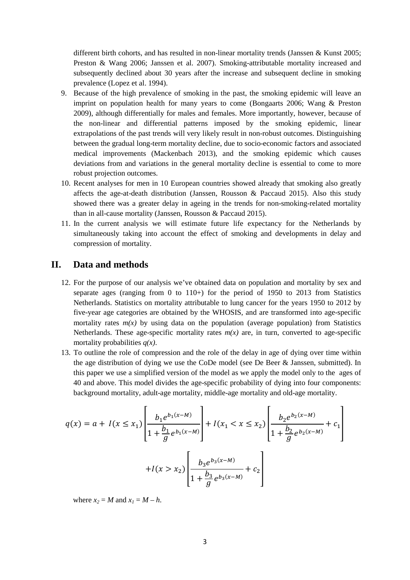different birth cohorts, and has resulted in non-linear mortality trends (Janssen & Kunst 2005; Preston & Wang 2006; Janssen et al. 2007). Smoking-attributable mortality increased and subsequently declined about 30 years after the increase and subsequent decline in smoking prevalence (Lopez et al. 1994).

- 9. Because of the high prevalence of smoking in the past, the smoking epidemic will leave an imprint on population health for many years to come (Bongaarts 2006; Wang & Preston 2009), although differentially for males and females. More importantly, however, because of the non-linear and differential patterns imposed by the smoking epidemic, linear extrapolations of the past trends will very likely result in non-robust outcomes. Distinguishing between the gradual long-term mortality decline, due to socio-economic factors and associated medical improvements (Mackenbach 2013), and the smoking epidemic which causes deviations from and variations in the general mortality decline is essential to come to more robust projection outcomes.
- 10. Recent analyses for men in 10 European countries showed already that smoking also greatly affects the age-at-death distribution (Janssen, Rousson & Paccaud 2015). Also this study showed there was a greater delay in ageing in the trends for non-smoking-related mortality than in all-cause mortality (Janssen, Rousson & Paccaud 2015).
- 11. In the current analysis we will estimate future life expectancy for the Netherlands by simultaneously taking into account the effect of smoking and developments in delay and compression of mortality.

## **II. Data and methods**

- 12. For the purpose of our analysis we've obtained data on population and mortality by sex and separate ages (ranging from 0 to  $110+$ ) for the period of 1950 to 2013 from Statistics Netherlands. Statistics on mortality attributable to lung cancer for the years 1950 to 2012 by five-year age categories are obtained by the WHOSIS, and are transformed into age-specific mortality rates  $m(x)$  by using data on the population (average population) from Statistics Netherlands. These age-specific mortality rates  $m(x)$  are, in turn, converted to age-specific mortality probabilities *q(x)*.
- 13. To outline the role of compression and the role of the delay in age of dying over time within the age distribution of dying we use the CoDe model (see De Beer & Janssen, submitted). In this paper we use a simplified version of the model as we apply the model only to the ages of 40 and above. This model divides the age-specific probability of dying into four components: background mortality, adult-age mortality, middle-age mortality and old-age mortality.

$$
q(x) = a + I(x \le x_1) \left[ \frac{b_1 e^{b_1(x-M)}}{1 + \frac{b_1}{g} e^{b_1(x-M)}} \right] + I(x_1 < x \le x_2) \left[ \frac{b_2 e^{b_2(x-M)}}{1 + \frac{b_2}{g} e^{b_2(x-M)}} + c_1 \right]
$$
\n
$$
+ I(x > x_2) \left[ \frac{b_3 e^{b_3(x-M)}}{1 + \frac{b_3}{g} e^{b_3(x-M)}} + c_2 \right]
$$

where  $x_2 = M$  and  $x_1 = M - h$ .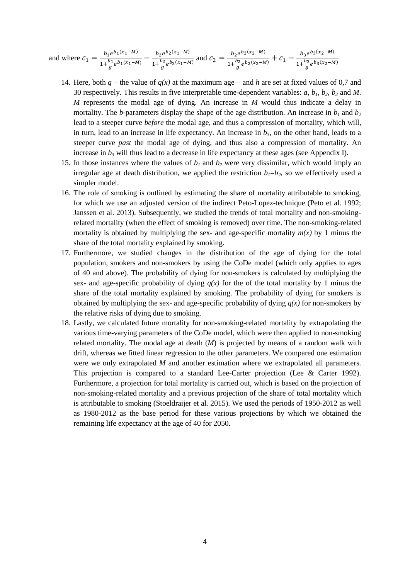and where  $c_1 = \frac{b_1 e^{b_1(x_1-M)}}{1 + \frac{b_1}{g} e^{b_1(x_1-M)}} - \frac{b_2 e^{b_2(x_1-M)}}{1 + \frac{b_2}{g} e^{b_2(x_1-M)}}$  and  $c_2 = \frac{b_2 e^{b_2(x_2-M)}}{1 + \frac{b_2}{g} e^{b_2(x_2-M)}} + c_1 - \frac{b_3 e^{b_3(x_2-M)}}{1 + \frac{b_3}{g} e^{b_3(x_2-M)}}$ 

- 14. Here, both  $g$  the value of  $q(x)$  at the maximum age and  $h$  are set at fixed values of 0,7 and 30 respectively. This results in five interpretable time-dependent variables: *a, b1, b2, b3* and *M*. *M* represents the modal age of dying. An increase in *M* would thus indicate a delay in mortality. The *b*-parameters display the shape of the age distribution. An increase in  $b_1$  and  $b_2$ lead to a steeper curve *before* the modal age, and thus a compression of mortality, which will, in turn, lead to an increase in life expectancy. An increase in  $b<sub>3</sub>$ , on the other hand, leads to a steeper curve *past* the modal age of dying, and thus also a compression of mortality. An increase in  $b_3$  will thus lead to a decrease in life expectancy at these ages (see Appendix I).
- 15. In those instances where the values of  $b_1$  and  $b_2$  were very dissimilar, which would imply an irregular age at death distribution, we applied the restriction  $b_1=b_2$ , so we effectively used a simpler model.
- 16. The role of smoking is outlined by estimating the share of mortality attributable to smoking, for which we use an adjusted version of the indirect Peto-Lopez-technique (Peto et al. 1992; Janssen et al. 2013). Subsequently, we studied the trends of total mortality and non-smokingrelated mortality (when the effect of smoking is removed) over time. The non-smoking-related mortality is obtained by multiplying the sex- and age-specific mortality  $m(x)$  by 1 minus the share of the total mortality explained by smoking.
- 17. Furthermore, we studied changes in the distribution of the age of dying for the total population, smokers and non-smokers by using the CoDe model (which only applies to ages of 40 and above). The probability of dying for non-smokers is calculated by multiplying the sex- and age-specific probability of dying  $q(x)$  for the of the total mortality by 1 minus the share of the total mortality explained by smoking. The probability of dying for smokers is obtained by multiplying the sex- and age-specific probability of dying  $q(x)$  for non-smokers by the relative risks of dying due to smoking.
- 18. Lastly, we calculated future mortality for non-smoking-related mortality by extrapolating the various time-varying parameters of the CoDe model, which were then applied to non-smoking related mortality. The modal age at death (*M*) is projected by means of a random walk with drift, whereas we fitted linear regression to the other parameters. We compared one estimation were we only extrapolated *M* and another estimation where we extrapolated all parameters. This projection is compared to a standard Lee-Carter projection (Lee & Carter 1992). Furthermore, a projection for total mortality is carried out, which is based on the projection of non-smoking-related mortality and a previous projection of the share of total mortality which is attributable to smoking (Stoeldraijer et al. 2015). We used the periods of 1950-2012 as well as 1980-2012 as the base period for these various projections by which we obtained the remaining life expectancy at the age of 40 for 2050.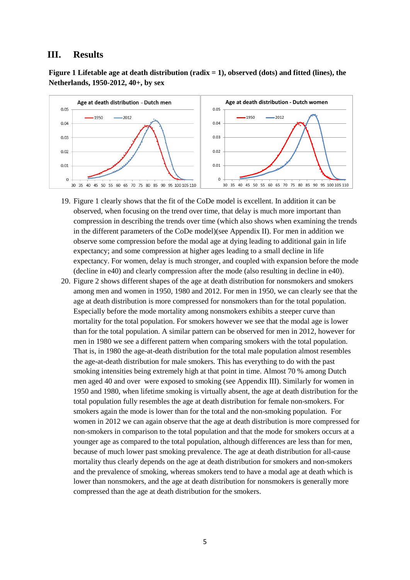## **III. Results**

**Figure 1 Lifetable age at death distribution (radix = 1), observed (dots) and fitted (lines), the Netherlands, 1950-2012, 40+, by sex**



- 19. Figure 1 clearly shows that the fit of the CoDe model is excellent. In addition it can be observed, when focusing on the trend over time, that delay is much more important than compression in describing the trends over time (which also shows when examining the trends in the different parameters of the CoDe model)(see Appendix II). For men in addition we observe some compression before the modal age at dying leading to additional gain in life expectancy; and some compression at higher ages leading to a small decline in life expectancy. For women, delay is much stronger, and coupled with expansion before the mode (decline in e40) and clearly compression after the mode (also resulting in decline in e40).
- 20. Figure 2 shows different shapes of the age at death distribution for nonsmokers and smokers among men and women in 1950, 1980 and 2012. For men in 1950, we can clearly see that the age at death distribution is more compressed for nonsmokers than for the total population. Especially before the mode mortality among nonsmokers exhibits a steeper curve than mortality for the total population. For smokers however we see that the modal age is lower than for the total population. A similar pattern can be observed for men in 2012, however for men in 1980 we see a different pattern when comparing smokers with the total population. That is, in 1980 the age-at-death distribution for the total male population almost resembles the age-at-death distribution for male smokers. This has everything to do with the past smoking intensities being extremely high at that point in time. Almost 70 % among Dutch men aged 40 and over were exposed to smoking (see Appendix III). Similarly for women in 1950 and 1980, when lifetime smoking is virtually absent, the age at death distribution for the total population fully resembles the age at death distribution for female non-smokers. For smokers again the mode is lower than for the total and the non-smoking population. For women in 2012 we can again observe that the age at death distribution is more compressed for non-smokers in comparison to the total population and that the mode for smokers occurs at a younger age as compared to the total population, although differences are less than for men, because of much lower past smoking prevalence. The age at death distribution for all-cause mortality thus clearly depends on the age at death distribution for smokers and non-smokers and the prevalence of smoking, whereas smokers tend to have a modal age at death which is lower than nonsmokers, and the age at death distribution for nonsmokers is generally more compressed than the age at death distribution for the smokers.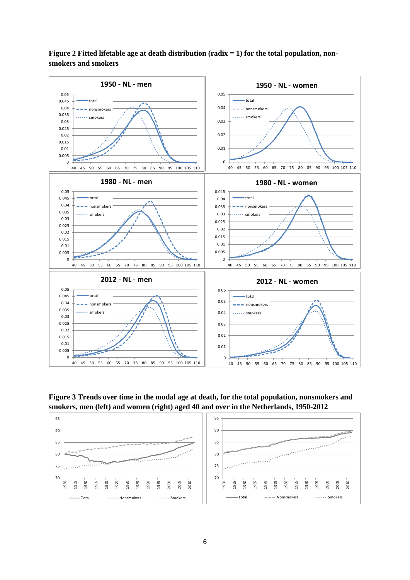

**Figure 2 Fitted lifetable age at death distribution (radix = 1) for the total population, nonsmokers and smokers**

**Figure 3 Trends over time in the modal age at death, for the total population, nonsmokers and smokers, men (left) and women (right) aged 40 and over in the Netherlands, 1950-2012**

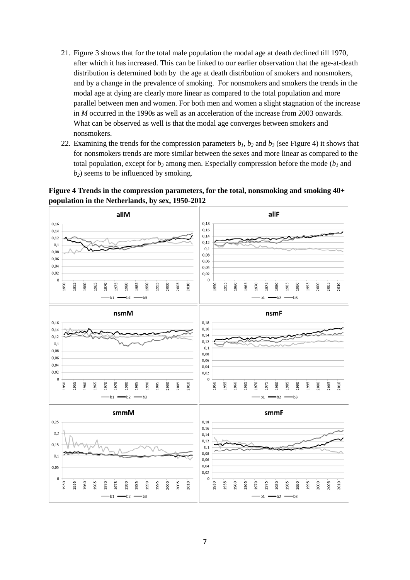- 21. Figure 3 shows that for the total male population the modal age at death declined till 1970, after which it has increased. This can be linked to our earlier observation that the age-at-death distribution is determined both by the age at death distribution of smokers and nonsmokers, and by a change in the prevalence of smoking. For nonsmokers and smokers the trends in the modal age at dying are clearly more linear as compared to the total population and more parallel between men and women. For both men and women a slight stagnation of the increase in *M* occurred in the 1990s as well as an acceleration of the increase from 2003 onwards. What can be observed as well is that the modal age converges between smokers and nonsmokers.
- 22. Examining the trends for the compression parameters  $b_1$ ,  $b_2$  and  $b_3$  (see Figure 4) it shows that for nonsmokers trends are more similar between the sexes and more linear as compared to the total population, except for  $b_3$  among men. Especially compression before the mode ( $b_1$  and *b*<sub>2</sub>) seems to be influenced by smoking.



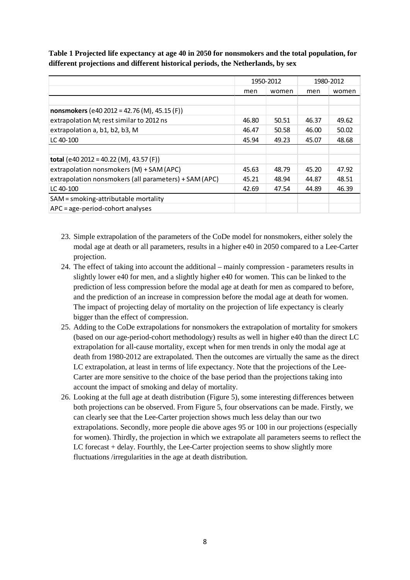**Table 1 Projected life expectancy at age 40 in 2050 for nonsmokers and the total population, for different projections and different historical periods, the Netherlands, by sex**

|                                                       | 1950-2012 |       | 1980-2012 |       |
|-------------------------------------------------------|-----------|-------|-----------|-------|
|                                                       | men       | women | men       | women |
|                                                       |           |       |           |       |
| nonsmokers (e40 2012 = 42.76 (M), 45.15 (F))          |           |       |           |       |
| extrapolation M; rest similar to 2012 ns              | 46.80     | 50.51 | 46.37     | 49.62 |
| extrapolation a, b1, b2, b3, M                        | 46.47     | 50.58 | 46.00     | 50.02 |
| LC 40-100                                             | 45.94     | 49.23 | 45.07     | 48.68 |
|                                                       |           |       |           |       |
| total (e40 2012 = 40.22 (M), 43.57 (F))               |           |       |           |       |
| extrapolation nonsmokers (M) + SAM (APC)              | 45.63     | 48.79 | 45.20     | 47.92 |
| extrapolation nonsmokers (all parameters) + SAM (APC) | 45.21     | 48.94 | 44.87     | 48.51 |
| $LC$ 40-100                                           | 42.69     | 47.54 | 44.89     | 46.39 |
| SAM = smoking-attributable mortality                  |           |       |           |       |
| APC = age-period-cohort analyses                      |           |       |           |       |

- 23. Simple extrapolation of the parameters of the CoDe model for nonsmokers, either solely the modal age at death or all parameters, results in a higher e40 in 2050 compared to a Lee-Carter projection.
- 24. The effect of taking into account the additional mainly compression parameters results in slightly lower e40 for men, and a slightly higher e40 for women. This can be linked to the prediction of less compression before the modal age at death for men as compared to before, and the prediction of an increase in compression before the modal age at death for women. The impact of projecting delay of mortality on the projection of life expectancy is clearly bigger than the effect of compression.
- 25. Adding to the CoDe extrapolations for nonsmokers the extrapolation of mortality for smokers (based on our age-period-cohort methodology) results as well in higher e40 than the direct LC extrapolation for all-cause mortality, except when for men trends in only the modal age at death from 1980-2012 are extrapolated. Then the outcomes are virtually the same as the direct LC extrapolation, at least in terms of life expectancy. Note that the projections of the Lee-Carter are more sensitive to the choice of the base period than the projections taking into account the impact of smoking and delay of mortality.
- 26. Looking at the full age at death distribution (Figure 5), some interesting differences between both projections can be observed. From Figure 5, four observations can be made. Firstly, we can clearly see that the Lee-Carter projection shows much less delay than our two extrapolations. Secondly, more people die above ages 95 or 100 in our projections (especially for women). Thirdly, the projection in which we extrapolate all parameters seems to reflect the LC forecast + delay. Fourthly, the Lee-Carter projection seems to show slightly more fluctuations /irregularities in the age at death distribution.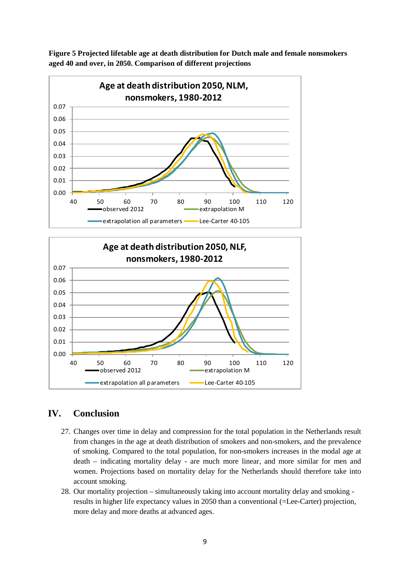

**Figure 5 Projected lifetable age at death distribution for Dutch male and female nonsmokers aged 40 and over, in 2050. Comparison of different projections**



# **IV. Conclusion**

- 27. Changes over time in delay and compression for the total population in the Netherlands result from changes in the age at death distribution of smokers and non-smokers, and the prevalence of smoking. Compared to the total population, for non-smokers increases in the modal age at death – indicating mortality delay - are much more linear, and more similar for men and women. Projections based on mortality delay for the Netherlands should therefore take into account smoking.
- 28. Our mortality projection simultaneously taking into account mortality delay and smoking results in higher life expectancy values in 2050 than a conventional (=Lee-Carter) projection, more delay and more deaths at advanced ages.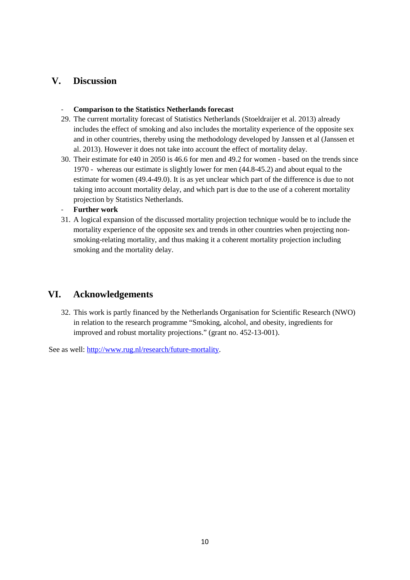## **V. Discussion**

#### - **Comparison to the Statistics Netherlands forecast**

- 29. The current mortality forecast of Statistics Netherlands (Stoeldraijer et al. 2013) already includes the effect of smoking and also includes the mortality experience of the opposite sex and in other countries, thereby using the methodology developed by Janssen et al (Janssen et al. 2013). However it does not take into account the effect of mortality delay.
- 30. Their estimate for e40 in 2050 is 46.6 for men and 49.2 for women based on the trends since 1970 - whereas our estimate is slightly lower for men (44.8-45.2) and about equal to the estimate for women (49.4-49.0). It is as yet unclear which part of the difference is due to not taking into account mortality delay, and which part is due to the use of a coherent mortality projection by Statistics Netherlands.
- **Further work**
- 31. A logical expansion of the discussed mortality projection technique would be to include the mortality experience of the opposite sex and trends in other countries when projecting nonsmoking-relating mortality, and thus making it a coherent mortality projection including smoking and the mortality delay.

# **VI. Acknowledgements**

32. This work is partly financed by the Netherlands Organisation for Scientific Research (NWO) in relation to the research programme "Smoking, alcohol, and obesity, ingredients for improved and robust mortality projections." (grant no. 452-13-001).

See as well: [http://www.rug.nl/research/future-mortality.](http://www.rug.nl/research/future-mortality)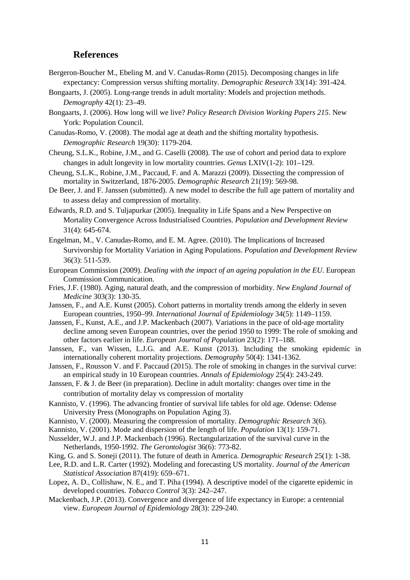## **References**

- Bergeron-Boucher M., Ebeling M. and V. Canudas-Romo (2015). Decomposing changes in life expectancy: Compression versus shifting mortality. *Demographic Research* 33(14): 391-424.
- Bongaarts, J. (2005). Long-range trends in adult mortality: Models and projection methods. *Demography* 42(1): 23–49.
- Bongaarts, J. (2006). How long will we live? *Policy Research Division Working Papers 215*. New York: Population Council.
- Canudas-Romo, V. (2008). The modal age at death and the shifting mortality hypothesis. *Demographic Research* 19(30): 1179-204.
- Cheung, S.L.K., Robine, J.M., and G. Caselli (2008). The use of cohort and period data to explore changes in adult longevity in low mortality countries. *Genus* LXIV(1-2): 101–129.
- Cheung, S.L.K., Robine, J.M., Paccaud, F. and A. Marazzi (2009). Dissecting the compression of mortality in Switzerland, 1876-2005. *Demographic Research* 21(19): 569-98.
- De Beer, J. and F. Janssen (submitted). A new model to describe the full age pattern of mortality and to assess delay and compression of mortality.
- Edwards, R.D. and S. Tuljapurkar (2005). Inequality in Life Spans and a New Perspective on Mortality Convergence Across Industrialised Countries. *Population and Development Review* 31(4): 645-674.
- Engelman, M., V. Canudas-Romo, and E. M. Agree. (2010). The Implications of Increased Survivorship for Mortality Variation in Aging Populations. *Population and Development Review*  36(3): 511-539.
- European Commission (2009). *Dealing with the impact of an ageing population in the EU*. European Commission Communication.
- Fries, J.F. (1980). Aging, natural death, and the compression of morbidity. *New England Journal of Medicine* 303(3): 130-35.
- Janssen, F., and A.E. Kunst (2005). Cohort patterns in mortality trends among the elderly in seven European countries, 1950–99. *International Journal of Epidemiology* 34(5): 1149–1159.
- Janssen, F., Kunst, A.E., and J.P. Mackenbach (2007). Variations in the pace of old-age mortality decline among seven European countries, over the period 1950 to 1999: The role of smoking and other factors earlier in life. *European Journal of Population* 23(2): 171–188.
- Janssen, F., van Wissen, L.J.G. and A.E. Kunst (2013). Including the smoking epidemic in internationally coherent mortality projections. *Demography* 50(4): 1341-1362*.*
- Janssen, F., Rousson V. and F. Paccaud (2015). The role of smoking in changes in the survival curve: an empirical study in 10 European countries. *Annals of Epidemiology* 25(4): 243-249.
- Janssen, F. & J. de Beer (in preparation). Decline in adult mortality: changes over time in the contribution of mortality delay vs compression of mortality
- Kannisto, V. (1996). The advancing frontier of survival life tables for old age. Odense: Odense University Press (Monographs on Population Aging 3).
- Kannisto, V. (2000). Measuring the compression of mortality. *Demographic Research* 3(6).
- Kannisto, V. (2001). Mode and dispersion of the length of life. *Population* 13(1): 159-71.
- Nusselder, W.J. and J.P. Mackenbach (1996). Rectangularization of the survival curve in the Netherlands, 1950-1992. *The Gerontologist* 36(6): 773-82.
- King, G. and S. Soneji (2011). The future of death in America. *Demographic Research* 25(1): 1-38.
- Lee, R.D. and L.R. Carter (1992). Modeling and forecasting US mortality. *Journal of the American Statistical Association* 87(419): 659–671.
- Lopez, A. D., Collishaw, N. E., and T. Piha (1994). A descriptive model of the cigarette epidemic in developed countries. *Tobacco Control* 3(3): 242–247.
- Mackenbach, J.P. (2013). Convergence and divergence of life expectancy in Europe: a centennial view. *European Journal of Epidemiology* 28(3): 229-240.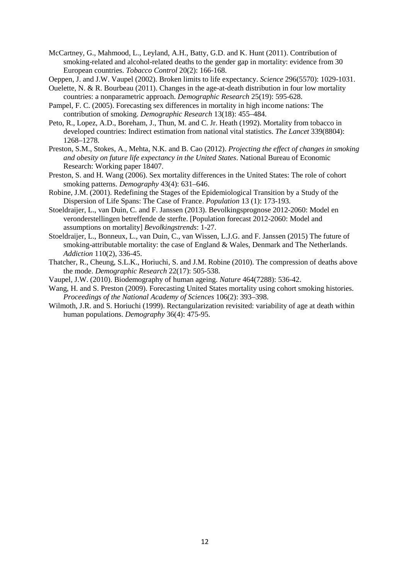- McCartney, G., Mahmood, L., Leyland, A.H., Batty, G.D. and K. Hunt (2011). Contribution of smoking-related and alcohol-related deaths to the gender gap in mortality: evidence from 30 European countries. *Tobacco Control* 20(2): 166-168.
- Oeppen, J. and J.W. Vaupel (2002). Broken limits to life expectancy. *Science* 296(5570): 1029-1031.
- Ouelette, N. & R. Bourbeau (2011). Changes in the age-at-death distribution in four low mortality countries: a nonparametric approach. *Demographic Research* 25(19): 595-628.
- Pampel, F. C. (2005). Forecasting sex differences in mortality in high income nations: The contribution of smoking. *Demographic Research* 13(18): 455–484.
- Peto, R., Lopez, A.D., Boreham, J., Thun, M. and C. Jr. Heath (1992). Mortality from tobacco in developed countries: Indirect estimation from national vital statistics. *The Lancet* 339(8804): 1268–1278.
- Preston, S.M., Stokes, A., Mehta, N.K. and B. Cao (2012). *Projecting the effect of changes in smoking and obesity on future life expectancy in the United States*. National Bureau of Economic Research: Working paper 18407.
- Preston, S. and H. Wang (2006). Sex mortality differences in the United States: The role of cohort smoking patterns. *Demography* 43(4): 631–646.
- Robine, J.M. (2001). Redefining the Stages of the Epidemiological Transition by a Study of the Dispersion of Life Spans: The Case of France. *Population* 13 (1): 173-193.
- Stoeldraijer, L., van Duin, C. and F. Janssen (2013). Bevolkingsprognose 2012-2060: Model en veronderstellingen betreffende de sterfte. [Population forecast 2012-2060: Model and assumptions on mortality] *Bevolkingstrends*: 1-27.
- Stoeldraijer, L., Bonneux, L., van Duin, C., van Wissen, L.J.G. and F. Janssen (2015) The future of smoking-attributable mortality: the case of England & Wales, Denmark and The Netherlands. *Addiction* 110(2), 336-45.
- Thatcher, R., Cheung, S.L.K., Horiuchi, S. and J.M. Robine (2010). The compression of deaths above the mode. *Demographic Research* 22(17): 505-538.
- Vaupel, J.W. (2010). Biodemography of human ageing. *Nature* 464(7288): 536-42.
- Wang, H. and S. Preston (2009). Forecasting United States mortality using cohort smoking histories. *Proceedings of the National Academy of Sciences* 106(2): 393–398.
- Wilmoth, J.R. and S. Horiuchi (1999). Rectangularization revisited: variability of age at death within human populations. *Demography* 36(4): 475-95.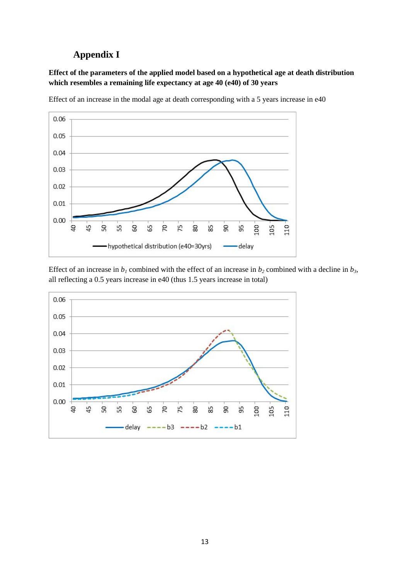# **Appendix I**

## **Effect of the parameters of the applied model based on a hypothetical age at death distribution which resembles a remaining life expectancy at age 40 (e40) of 30 years**



Effect of an increase in the modal age at death corresponding with a 5 years increase in e40

Effect of an increase in  $b_1$  combined with the effect of an increase in  $b_2$  combined with a decline in  $b_3$ , all reflecting a 0.5 years increase in e40 (thus 1.5 years increase in total)